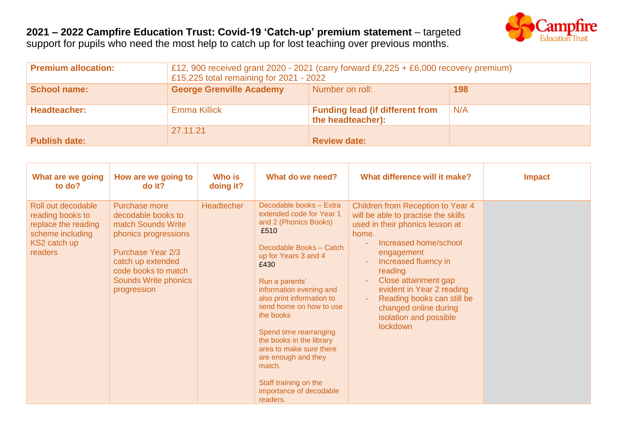## **2021 – 2022 Campfire Education Trust: Covid-19 'Catch-up' premium statement** – targeted support for pupils who need the most help to catch up for lost teaching over previous months.



| <b>Premium allocation:</b> | £12, 900 received grant 2020 - 2021 (carry forward £9,225 + £6,000 recovery premium)<br>£15,225 total remaining for 2021 - 2022 |                                                             |     |  |  |
|----------------------------|---------------------------------------------------------------------------------------------------------------------------------|-------------------------------------------------------------|-----|--|--|
| <b>School name:</b>        | <b>George Grenville Academy</b>                                                                                                 | Number on roll:                                             | 198 |  |  |
| <b>Headteacher:</b>        | <b>Emma Killick</b>                                                                                                             | <b>Funding lead (if different from</b><br>the headteacher): | N/A |  |  |
| <b>Publish date:</b>       | 27.11.21                                                                                                                        | <b>Review date:</b>                                         |     |  |  |

| What are we going<br>to do?                                                                                  | How are we going to<br>$do$ it?                                                                                                                                                           | <b>Who is</b><br>doing it? | What do we need?                                                                                                                                                                                                                                                                                                                                                                                                                                    | What difference will it make?                                                                                                                                                                                                                                                                                                                    | <b>Impact</b> |
|--------------------------------------------------------------------------------------------------------------|-------------------------------------------------------------------------------------------------------------------------------------------------------------------------------------------|----------------------------|-----------------------------------------------------------------------------------------------------------------------------------------------------------------------------------------------------------------------------------------------------------------------------------------------------------------------------------------------------------------------------------------------------------------------------------------------------|--------------------------------------------------------------------------------------------------------------------------------------------------------------------------------------------------------------------------------------------------------------------------------------------------------------------------------------------------|---------------|
| Roll out decodable<br>reading books to<br>replace the reading<br>scheme including<br>KS2 catch up<br>readers | Purchase more<br>decodable books to<br>match Sounds Write<br>phonics progressions<br>Purchase Year 2/3<br>catch up extended<br>code books to match<br>Sounds Write phonics<br>progression | Headtecher                 | Decodable books - Extra<br>extended code for Year 1<br>and 2 (Phonics Books)<br>£510<br>Decodable Books - Catch<br>up for Years 3 and 4<br>£430<br>Run a parents'<br>information evening and<br>also print information to<br>send home on how to use<br>the books<br>Spend time rearranging<br>the books in the library<br>area to make sure there<br>are enough and they<br>match.<br>Staff training on the<br>importance of decodable<br>readers. | Children from Reception to Year 4<br>will be able to practise the skills<br>used in their phonics lesson at<br>home.<br>Increased home/school<br>engagement<br>Increased fluency in<br>reading<br>Close attainment gap<br>evident in Year 2 reading<br>Reading books can still be<br>changed online during<br>isolation and possible<br>lockdown |               |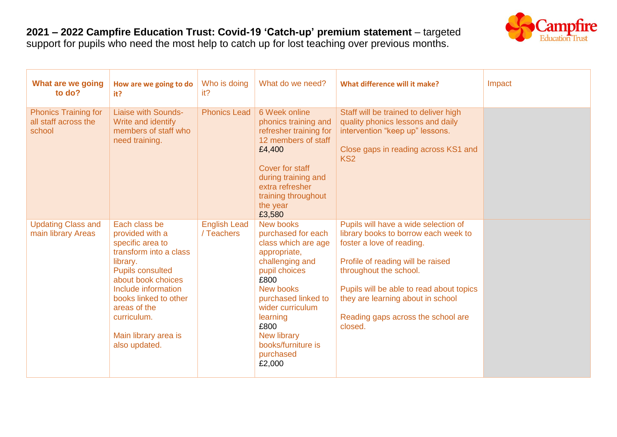## **2021 – 2022 Campfire Education Trust: Covid-19 'Catch-up' premium statement** – targeted support for pupils who need the most help to catch up for lost teaching over previous months.



| What are we going<br>to do?                                   | How are we going to do<br>it?                                                                                                                                                                                                                                       | Who is doing<br>it?               | What do we need?                                                                                                                                                                                                                                                  | What difference will it make?                                                                                                                                                                                                                                                                              | Impact |
|---------------------------------------------------------------|---------------------------------------------------------------------------------------------------------------------------------------------------------------------------------------------------------------------------------------------------------------------|-----------------------------------|-------------------------------------------------------------------------------------------------------------------------------------------------------------------------------------------------------------------------------------------------------------------|------------------------------------------------------------------------------------------------------------------------------------------------------------------------------------------------------------------------------------------------------------------------------------------------------------|--------|
| <b>Phonics Training for</b><br>all staff across the<br>school | <b>Liaise with Sounds-</b><br>Write and identify<br>members of staff who<br>need training.                                                                                                                                                                          | <b>Phonics Lead</b>               | 6 Week online<br>phonics training and<br>refresher training for<br>12 members of staff<br>£4,400<br>Cover for staff<br>during training and<br>extra refresher<br>training throughout<br>the year<br>£3,580                                                        | Staff will be trained to deliver high<br>quality phonics lessons and daily<br>intervention "keep up" lessons.<br>Close gaps in reading across KS1 and<br>KS <sub>2</sub>                                                                                                                                   |        |
| <b>Updating Class and</b><br>main library Areas               | Each class be<br>provided with a<br>specific area to<br>transform into a class<br>library.<br><b>Pupils consulted</b><br>about book choices<br>Include information<br>books linked to other<br>areas of the<br>curriculum.<br>Main library area is<br>also updated. | <b>English Lead</b><br>/ Teachers | New books<br>purchased for each<br>class which are age<br>appropriate,<br>challenging and<br>pupil choices<br>£800<br>New books<br>purchased linked to<br>wider curriculum<br>learning<br>£800<br><b>New library</b><br>books/furniture is<br>purchased<br>£2,000 | Pupils will have a wide selection of<br>library books to borrow each week to<br>foster a love of reading.<br>Profile of reading will be raised<br>throughout the school.<br>Pupils will be able to read about topics<br>they are learning about in school<br>Reading gaps across the school are<br>closed. |        |